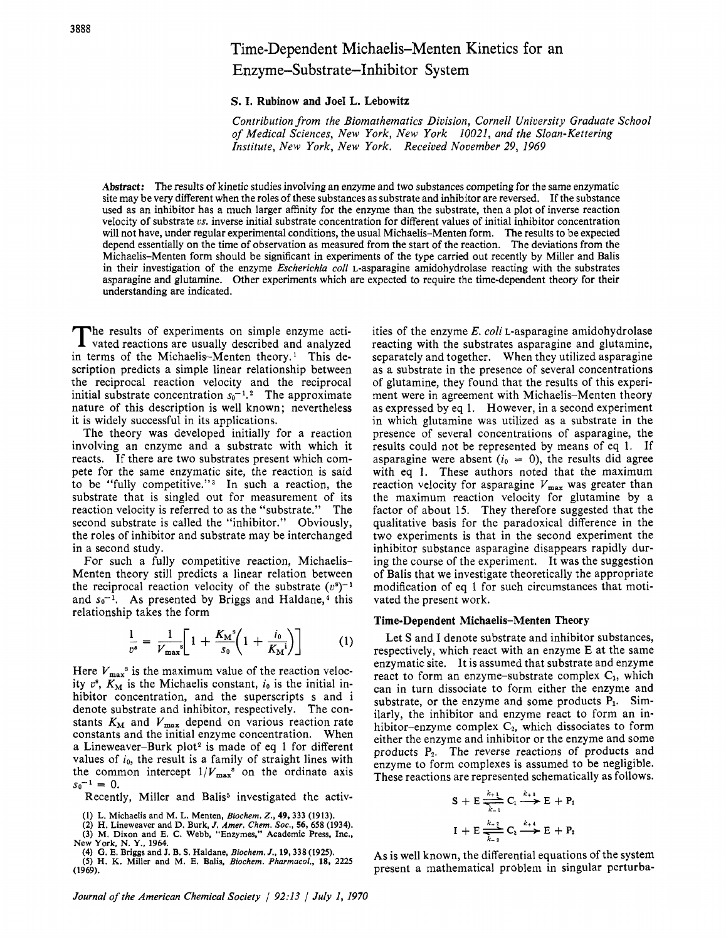# Time-Dependent Michaelis-Menten Kinetics for an Enzyme-Substrate-Inhibitor System

**S. I. Rubinow and Joe1 L. Lebowitz** 

*Contribution from the Biomathematics Division, Cornell University Graduate School of Medical Sciences, New York, New York 10021, and the Sloan-Kettering Institute, New York, New York. Received November 29, 1969* 

**Abstract:** The results of kinetic studies involving an enzyme and two substances competing for the same enzymatic site may be very different when the roles of these substances as substrate and inhibitor are reversed. If the substance used as an inhibitor has a much larger affinity for the enzyme than the substrate, then a plot of inverse reaction velocity of substrate *vs*. inverse initial substrate concentration for different values of initial inhibitor concentration will not have, under regular experimental conditions, the usual Michaelis-Menten form. The results to be expecied depend essentially on the time of observation as measured from the start of the reaction. The deviations from the Michaelis-Menten form should be significant in experiments of the type carried out recently by Miller and Balis in their investigation of the enzyme *Escherichia coli* L-asparagine amidohydrolase reacting with the substrates asparagine and glutamine. Other experiments which are expected to require the time-dependent theory for their understanding are indicated.

The results of experiments on simple enzyme acti-<br>vated reactions are usually described and analyzed in terms of the Michaelis-Menten theory.' This description predicts a simple linear relationship between the reciprocal reaction velocity and the reciprocal initial substrate concentration  $s_0$ <sup>-1</sup>.<sup>2</sup> The approximate nature of this description is well known; nevertheless it is widely successful in its applications.

The theory was developed initially for a reaction involving an enzyme and a substrate with which it reacts. If there are two substrates present which compete for the same enzymatic site, the reaction **is** said to be "fully competitive."<sup>3</sup> In such a reaction, the substrate that is singled out for measurement of its reaction velocity is referred to as the "substrate." The second substrate is called the "inhibitor." Obviously, the roles of inhibitor and substrate may be interchanged in a second study.

For such a fully competitive reaction, Michaelis-Menten theory still predicts a linear relation between the reciprocal reaction velocity of the substrate  $(v<sup>s</sup>)<sup>-1</sup>$ and  $s_0$ <sup>-1</sup>. As presented by Briggs and Haldane,<sup>4</sup> this relationship takes the form

$$
\frac{1}{v^s} = \frac{1}{V_{\text{max}}} \left[ 1 + \frac{K_{\text{M}}^s}{s_0} \left( 1 + \frac{i_0}{K_{\text{M}}^i} \right) \right] \tag{1}
$$

Here  $V_{\text{max}}^{\text{s}}$  is the maximum value of the reaction velocity  $v^s$ ,  $K_M$  is the Michaelis constant,  $i_0$  is the initial inhibitor concentration, and the superscripts **s** and i denote substrate and inhibitor, respectively. The constants  $K_M$  and  $V_{\text{max}}$  depend on various reaction rate constants and the initial enzyme concentration. When a Lineweaver-Burk plot<sup>2</sup> is made of eq 1 for different values of *io,* the result is a family of straight lines with the common intercept  $1/V_{\text{max}}^s$  on the ordinate axis  $s_0^{-1} = 0$ .

Recently, Miller and Balis<sup>5</sup> investigated the activ-

**New York, N. Y., 1964. (4) G. E. Briggs and J. B. S. Haldane,** *Biochem. J.,* **19,338 (1925).** 

ities of the enzyme *E. coli* L-asparagine amidohydrolase reacting with the substrates asparagine and glutamine, separately and together. When they utilized asparagine as a substrate in the presence of several concentrations of glutamine, they found that the results of this experiment were in agreement with Michaelis-Menten theory as expressed by eq 1. However, in a second experiment in which glutamine was utilized as a substrate in the presence of several concentrations of asparagine, the results could not be represented by means of eq 1. If asparagine were absent  $(i_0 = 0)$ , the results did agree with eq *1.* These authors noted that the maximum reaction velocity for asparagine  $V_{\text{max}}$  was greater than the maximum reaction velocity for glutamine by a factor of about 15. They therefore suggested that the qualitative basis for the paradoxical difference in the two experiments is that in the second experiment the inhibitor substance asparagine disappears rapidly during the course of the experiment. It was the suggestion of Balis that we investigate theoretically the appropriate modification of eq 1 for such circumstances that motivated the present work.

#### **Time-Dependent Michaelis-Menten Theory**

Let S and I denote substrate and inhibitor substances, respectively, which react with an enzyme E at the same enzymatic site. It is assumed that substrate and enzyme react to form an enzyme-substrate complex *C1,* which can in turn dissociate to form either the enzyme and substrate, or the enzyme and some products P<sub>1</sub>. Similarly, the inhibitor and enzyme react to form an inhibitor-enzyme complex C<sub>2</sub>, which dissociates to form either the enzyme and inhibitor or the enzyme and some products **Pz.** The reverse reactions of products and enzyme to form complexes is assumed to be negligible. These reactions are represented schematically as follows.

$$
S + E \xrightarrow[k+1]{k+1} C_1 \xrightarrow{k+1} E + P_1
$$

$$
I + E \xrightarrow[k+1]{k+1} C_2 \xrightarrow{k+1} E + P_2
$$

**As** is well known, the differential equations of the system present a mathematical problem in singular perturba-

**<sup>(1)</sup> L. Michaelis and M.** L. **Menten,** *Biochem. Z.,* **49,333 (1913).** 

**<sup>(2)</sup> H. Lineweaver and D. Burk,** *J. Amer. Chem. SOC.,* **56,658 (1934).**  *(3)* **M. Dixon and E. C. Webb, "Enzymes," Academic Press, Inc.,** 

**<sup>(5)</sup> H. K. Miller and M. E. Balis,** *Biochem. Pharmacol,,* **18,** *2225*  **(1969).**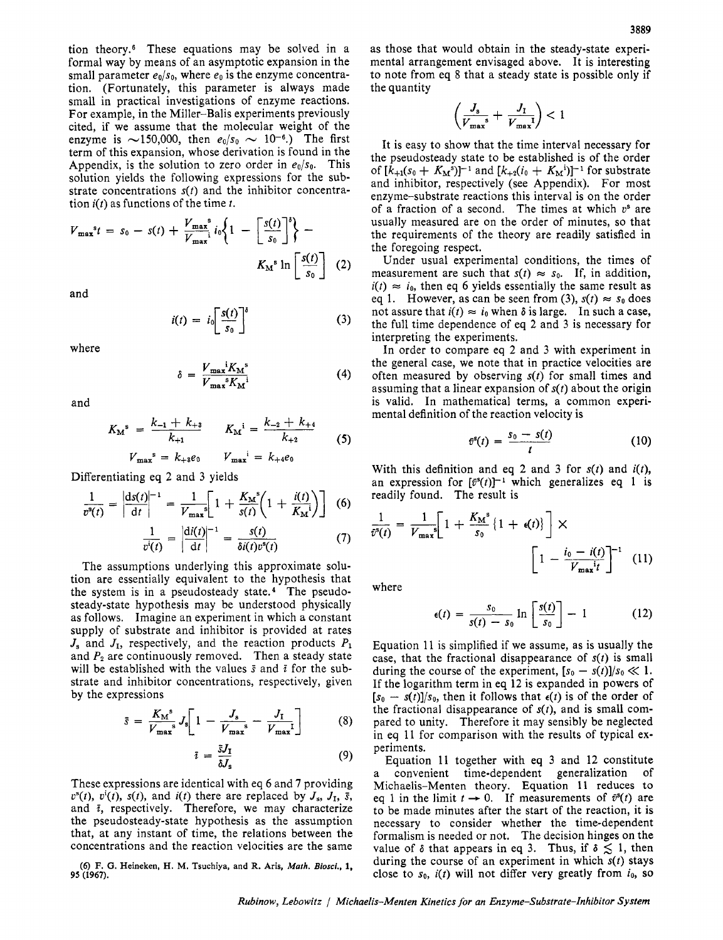tion theory.6 These equations may be solved in a formal way by means of an asymptotic expansion in the small parameter  $e_0/s_0$ , where  $e_0$  is the enzyme concentration. (Fortunately, this parameter is always made small in practical investigations of enzyme reactions. For example, in the Miller-Balis experiments previously cited, if we assume that the molecular weight of the enzyme is  $\sim$ 150,000, then  $e_0/s_0 \sim 10^{-6}$ .) The first term of this expansion, whose derivation is found in the Appendix, is the solution to zero order in  $e_0/s_0$ . This solution yields the following expressions for the substrate concentrations *s(t)* and the inhibitor concentration **i(t)** as functions of the time *t.* 

$$
V_{\max}^{s}t = s_0 - s(t) + \frac{V_{\max}^{s}}{V_{\max}^{s}} i_0 \left\{ 1 - \left[ \frac{s(t)}{s_0} \right]^s \right\} - K_M^{s} \ln \left[ \frac{s(t)}{s_0} \right] \tag{2}
$$

and

$$
i(t) = i_0 \left[ \frac{s(t)}{s_0} \right]^s \tag{3}
$$

where

$$
\delta = \frac{V_{\text{max}}^i K_M^s}{V_{\text{max}}^s K_M^i} \tag{4}
$$

and

$$
K_{\mathbf{M}}^{s} = \frac{k_{-1} + k_{+3}}{k_{+1}} \qquad K_{\mathbf{M}}^{i} = \frac{k_{-2} + k_{+4}}{k_{+2}} \qquad (5)
$$

$$
V_{\max}^{s} = k_{+3}e_{0} \qquad V_{\max}^{i} = k_{+4}e_{0}
$$

Differentiating eq 2 and **3** yields

$$
\frac{1}{v^{s}(t)} = \left| \frac{ds(t)}{dt} \right|^{-1} = \frac{1}{V_{\max}} \left[ 1 + \frac{K_{\mathrm{M}}^{s}}{s(t)} \left( 1 + \frac{i(t)}{K_{\mathrm{M}}^{i}} \right) \right] \tag{6}
$$

$$
\frac{1}{v^i(t)} = \left| \frac{\mathrm{d}i(t)}{\mathrm{d}t} \right|^{-1} = \frac{s(t)}{\delta i(t)v^s(t)} \tag{7}
$$

The assumptions underlying this approximate solution are essentially equivalent to the hypothesis that the system is in a pseudosteady state.4 The pseudosteady-state hypothesis may be understood physically as follows. Imagine an experiment in which a constant supply of substrate and inhibitor is provided at rates  $J_s$  and  $J_I$ , respectively, and the reaction products  $P_1$ and  $P_2$  are continuously removed. Then a steady state will be established with the values **S** and *i* for the substrate and inhibitor concentrations, respectively, given by the expressions

$$
\bar{s} = \frac{K_{\rm M}^{\rm s}}{V_{\rm max}^{\rm s}} J_{\rm s} \left[ 1 - \frac{J_{\rm s}}{V_{\rm max}^{\rm s}} - \frac{J_{\rm I}}{V_{\rm max}^{\rm I}} \right] \tag{8}
$$

$$
\bar{\imath} = \frac{\bar{s}J_{\rm I}}{\delta J_{\rm s}} \tag{9}
$$

These expressions are identical with eq *6* and 7 providing  $v^{s}(t)$ ,  $v^{i}(t)$ ,  $s(t)$ , and  $i(t)$  there are replaced by  $J_{s}$ ,  $J_{I}$ ,  $\bar{s}$ , and  $\bar{i}$ , respectively. Therefore, we may characterize the pseudosteady-state hypothesis as the assumption that, at any instant of time, the relations between the concentrations and the reaction velocities are the same

*(6)* **F. G. Heineken, H. M. Tsuchiya, and R. Ark,** *Marh. Biosci.,* **1,**  *95* **(1967).** 

as those that would obtain in the steady-state experimental arrangement envisaged above. It is interesting to note from eq 8 that a steady state is possible only if the quantity

$$
\left(\frac{J_{\rm s}}{V_{\rm max}^{\rm s}} + \frac{J_{\rm 1}}{V_{\rm max}^{\rm 1}}\right) < 1
$$

It is easy to show that the time interval necessary for the pseudosteady state to be established is of the order of  $[k_{+1}(s_0 + K_M^s)]^{-1}$  and  $[k_{+2}(i_0 + K_M^i)]^{-1}$  for substrate and inhibitor, respectively (see Appendix). For most enzyme-substrate reactions this interval is on the order of a fraction of a second. The times at which **vs** are usually measured are on the order of minutes, so that the requirements of the theory are readily satisfied in the foregoing respect.

Under usual experimental conditions, the times of measurement are such that  $s(t) \approx s_0$ . If, in addition,  $i(t) \approx i_0$ , then eq 6 yields essentially the same result as eq 1. However, as can be seen from (3),  $s(t) \approx s_0$  does not assure that  $i(t) \approx i_0$  when  $\delta$  is large. In such a case, the full time dependence of eq 2 and **3** is necessary for interpreting the experiments.

In order to compare eq 2 and **3** with experiment in the general case, we note that in practice velocities are often measured by observing *s(t)* for small times and assuming that a linear expansion of *s(t)* about the origin is valid. In mathematical terms, a common experimental definition of the reaction velocity is

$$
\bar{v}^s(t) = \frac{s_0 - s(t)}{t} \tag{10}
$$

With this definition and eq 2 and **3** for *s(t)* and *i(t),*  an expression for  $[\bar{v}^s(t)]^{-1}$  which generalizes eq 1 is readily found. The result is

$$
\frac{1}{\bar{v}^{s}(t)} = \frac{1}{V_{\text{max}}s} \left[ 1 + \frac{K_{\text{M}}^{s}}{s_{0}} \left\{ 1 + \epsilon(t) \right\} \right] \times \left[ 1 - \frac{i_{0} - i(t)}{V_{\text{max}}t} \right]^{-1} (11)
$$

where

$$
\epsilon(t) = \frac{s_0}{s(t) - s_0} \ln \left[ \frac{s(t)}{s_0} \right] - 1 \tag{12}
$$

Equation 11 is simplified if we assume, as is usually the case, that the fractional disappearance of  $s(t)$  is small during the course of the experiment,  $[s_0 - s(t)]/s_0 \ll 1$ . If the logarithm term in eq 12 is expanded in powers of  $[s_0 - s(t)]/s_0$ , then it follows that  $\epsilon(t)$  is of the order of the fractional disappearance of *s(t),* and is small compared to unity. Therefore it may sensibly be neglected in eq 11 for comparison with the results of typical experiments.

Equation 11 together with eq 3 and 12 constitute a convenient time-dependent generalization of Michaelis-Menten theory. Equation **11** reduces to eq 1 in the limit  $t \to 0$ . If measurements of  $\bar{v}^s(t)$  are to be made minutes after the start of the reaction, it is necessary to consider whether the time-dependent formalism is needed or not. The decision hinges on the value of  $\delta$  that appears in eq 3. Thus, if  $\delta \lesssim 1$ , then during the course of an experiment in which *s(t)* stays close to  $s_0$ ,  $i(t)$  will not differ very greatly from  $i_0$ , so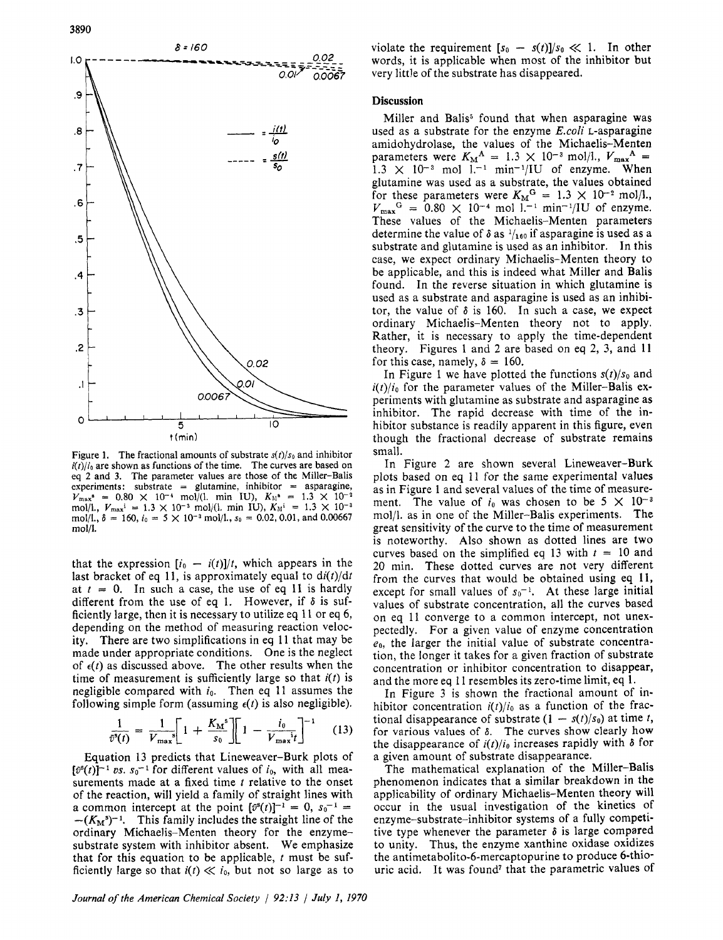

Figure 1. The fractional amounts of substrate  $s(t)/s_0$  and inhibitor  $i(t)/i_0$  are shown as functions of the time. The curves are based on eq 2 and 3. The parameter values are those of the Miller-Balis  $experiments: substrate = glutamine, inhibitor = asparagine,$  $V_{\text{max}}^{\bullet}$  = 0.80  $\times$  10<sup>-4</sup> mol/(1. min IU),  $K_{\text{M}}^{\bullet}$  = 1.3  $\times$  10<sup>-2</sup> mol/l.,  $V_{\text{max}}$ <sup>i</sup> = 1.3 × 10<sup>-3</sup> mol/(1. min IU),  $K_M$ <sup>i</sup> = 1.3 × 10<sup>-3</sup> mol/l.,  $\delta = 160$ ,  $i_0 = 5 \times 10^{-3}$  mol/l.,  $s_0 = 0.02, 0.01$ , and 0.00667 mol/l.

that the expression  $[i_0 - i(t)]/t$ , which appears in the last bracket of eq 11, is approximately equal to  $di(t)/dt$ at  $t = 0$ . In such a case, the use of eq 11 is hardly different from the use of eq 1. However, if  $\delta$  is sufficiently large, then it is necessary to utilize eq 11 or eq 6, depending on the method of measuring reaction velocity. There are two simplifications in eq 11 that may be made under appropriate conditions. One is the neglect of  $\epsilon(t)$  as discussed above. The other results when the time of measurement is sufficiently large so that *i(t)* is negligible compared with *io.* Then eq 11 assumes the following simple form (assuming  $\epsilon(t)$  is also negligible).

$$
\frac{1}{\bar{v}^s(t)} = \frac{1}{V_{\text{max}}}\left[1 + \frac{K_{\text{M}}^s}{s_0}\right]\left[1 - \frac{i_0}{V_{\text{max}}^i t}\right]^{-1} \quad (13)
$$

Equation 13 predicts that Lineweaver-Burk plots of  $[\tilde{v}^s(t)]^{-1}$  *us.*  $s_0^{-1}$  for different values of *i*<sub>0</sub>, with all measurements made at a fixed time *t* relative to the onset of the reaction, will yield **a** family of straight lines with a common intercept at the point  $[\tilde{v}^s(t)]^{-1} = 0$ ,  $s_0^{-1} =$  $-(K_M<sup>s</sup>)<sup>-1</sup>$ . This family includes the straight line of the ordinary Michaelis-Menten theory for the enzymesubstrate system with inhibitor absent. We emphasize that for this equation to be applicable, *t* must be sufficiently large so that  $i(t) \ll i_0$ , but not so large as to

violate the requirement  $[s_0 - s(t)]/s_0 \ll 1$ . In other words, it is applicable when most of the inhibitor but very little of the substrate has disappeared.

### **Discussion**

Miller and Balis<sup>5</sup> found that when asparagine was used as a substrate for the enzyme *E.coli* L-asparagine amidohydrolase, the values of the Michaelis-Menten parameters were  $K_M^A = 1.3 \times 10^{-3}$  mol/l.,  $V_{\text{max}}^A =$  $1.3 \times 10^{-3}$  mol  $1^{-1}$  min<sup>-1</sup>/IU of enzyme. When glutamine was used as a substrate, the values obtained for these parameters were  $K_M$ <sup>G</sup> = 1.3  $\times$  10<sup>-2</sup> mol/l.,  $V_{\text{max}}^G = 0.80 \times 10^{-4} \text{ mol } 1.^{-1} \text{ min}^{-1}/1 \text{U of } \text{ enzyme.}$ These values of the Michaelis-Menten parameters determine the value of  $\delta$  as  $\frac{1}{160}$  if asparagine is used as a substrate and glutamine is used as an inhibitor. In this case, we expect ordinary Michaelis-Menten theory to be applicable, and this is indeed what Miller and Balis found. In the reverse situation in which glutamine is used as a substrate and asparagine is used as an inhibitor, the value of  $\delta$  is 160. In such a case, we expect ordinary Michaelis-Menten theory not to apply. Rather, it is necessary to apply the time-dependent theory. Figures 1 and **2** are based on eq **2,** 3, and 11 for this case, namely,  $\delta = 160$ .

In Figure I we have plotted the functions *s(t)/so* and  $i(t)/i_0$  for the parameter values of the Miller-Balis experiments with glutamine as substrate and asparagine as inhibitor. The rapid decrease with time of the inhibitor substance is readily apparent in this figure, even though the fractional decrease of substrate remains small.

In Figure **2** are shown several Lineweaver-Burk plots based on eq 11 for the same experimental values as in Figure 1 and several values of the time of measurement. The value of  $i_0$  was chosen to be  $5 \times 10^{-3}$ mol/l. as in one of the Miller-Balis experiments. The great sensitivity of the curve to the time of measurement is noteworthy. Also shown as dotted lines are two curves based on the simplified eq 13 with  $t = 10$  and 20 min. These dotted curves are not very different from the curves that would be obtained using eq 11, except for small values of  $s_0$ <sup>-1</sup>. At these large initial values of substrate concentration, all the curves based on eq I1 converge to a common intercept, not unexpectedly. For a given value of enzyme concentration  $e_0$ , the larger the initial value of substrate concentration, the longer it takes for a given fraction of substrate concentration or inhibitor concentration to disappear, and the more eq 11 resembles its zero-time limit, eq **1.** 

In Figure 3 is shown the fractional amount of inhibitor concentration  $i(t)/i_0$  as a function of the fractional disappearance of substrate  $(1 - s(t)/s_0)$  at time *t*, for various values of  $\delta$ . The curves show clearly how the disappearance of  $i(t)/i_0$  increases rapidly with  $\delta$  for a given amount of substrate disappearance.

The mathematical explanation of the Miller-Balis phenomenon indicates that a similar breakdown in the applicability of ordinary Michaelis-Menten theory will occur in the usual investigation of the kinetics of enzyme-substrate-inhibitor systems of a fully competitive type whenever the parameter **6** is large compared to unity. Thus, the enzyme xanthine oxidase oxidizes the **antimetabolito-6-mercaptopurine** to produce 6-thiouric acid. It was found<sup>7</sup> that the parametric values of

*Journal of the American Chemical Society* / *92:13 July I, 1970*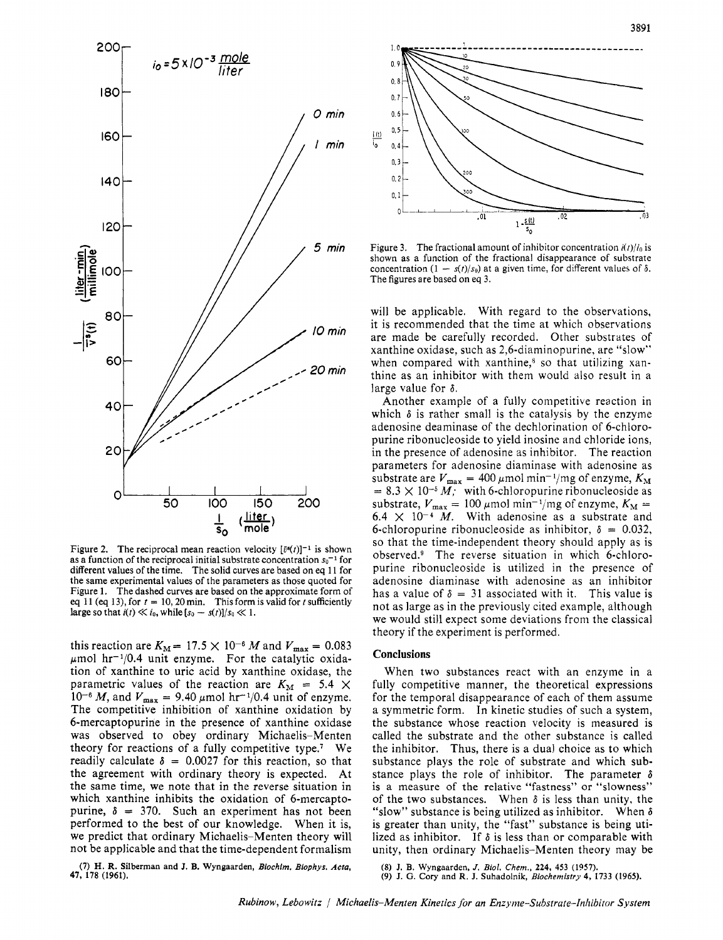

Figure 2. The reciprocal mean reaction velocity  $\lceil \bar{v}^s(t) \rceil^{-1}$  is shown as a function of the reciprocal initial substrate concentration  $s_0$ <sup>-1</sup> for different values of the time. The solid curves are based on eq 11 for the same experimental values of the parameters as those quoted for Figure 1. The dashed curves are based on the approximate form of eq 11 (eq 13), for  $t = 10$ , 20 min. This form is valid for *t* sufficiently large so that  $i(t) \ll i_0$ , while  $[s_0 - s(t)]/s_0 \ll 1$ .

this reaction are  $K_M = 17.5 \times 10^{-6} M$  and  $V_{\text{max}} = 0.083$  $\mu$ mol hr<sup>-1</sup>/0.4 unit enzyme. For the catalytic oxidation of xanthine to uric acid by xanthine oxidase, the parametric values of the reaction are  $K_M = 5.4 \times$  $10^{-6}$  *M*, and  $V_{\text{max}} = 9.40 \,\mu\text{mol hr}^{-1}/0.4$  unit of enzyme. The competitive inhibition of xanthine oxidation by 6-mercaptopurine in the presence of xanthine oxidase was observed to obey ordinary Michaelis-Menten theory for reactions of a fully competitive type.' We readily calculate  $\delta = 0.0027$  for this reaction, so that the agreement with ordinary theory is expected. At the same time, we note that in the reverse situation in which xanthine inhibits the oxidation of 6-mercaptopurine,  $\delta = 370$ . Such an experiment has not been performed to the best of our knowledge. When it is, we predict that ordinary Michaelis-Menten theory will not be applicable and that the time-dependent formalism



Figure 3. The fractional amount of inhibitor concentration *ic/)/io* is shown as a function of the fractional disappearance of substrate concentration  $(1 - s(t)/s_0)$  at a given time, for different values of  $\delta$ . The figures are based on eq 3.

will be applicable. With regard to the observations, it is recommended that the time at which observations are made be carefully recorded. Other substrates of xanthine oxidase, such as 2,6-diaminopurine, are "slow" when compared with xanthine, $\delta$  so that utilizing xanthine as an inhibitor with them would also result in a large value for *6.* 

Another example of a fully competitive reaction in which  $\delta$  is rather small is the catalysis by the enzyme adenosine deaminase of the dechlorination of 6-chloropurine ribonucleoside to yield inosine and chloride ions, in the presence of adenosine as inhibitor. The reaction parameters for adenosine diaminase with adenosine as substrate are  $V_{\text{max}} = 400 \,\mu\text{mol min}^{-1}/\text{mg of enzyme}, K_M$  $= 8.3 \times 10^{-5} M$ ; with 6-chloropurine ribonucleoside as substrate,  $V_{\text{max}} = 100 \,\mu \text{mol min}^{-1} / \text{mg of enzyme}, K_M =$  $6.4 \times 10^{-4}$  *M*. With adenosine as a substrate and 6-chloropurine ribonucleoside as inhibitor,  $\delta = 0.032$ , so that the time-independent theory should apply as is observed.<sup>9</sup> The reverse situation in which 6-chloropurine ribonucleoside is utilized in the presence of adenosine diaminase with adenosine as an inhibitor has a value of  $\delta = 31$  associated with it. This value is not as large as in the previously cited example, although we would still expect some deviations from the classical theory if the experiment is performed.

#### **Conclusions**

When two substances react with an enzyme in a fully competitive manner, the theoretical expressions for the temporal disappearance of each of them assume a symmetric form. In kinetic studies of such a system, the substance whose reaction velocity is measured is called the substrate and the other substance is called the inhibitor. Thus, there is a dual choice as to which substance plays the role of substrate and which substance plays the role of inhibitor. The parameter  $\delta$ is a measure of the relative "fastness" or "slowness" of the two substances. When  $\delta$  is less than unity, the "slow" substance is being utilized as inhibitor. When **6**  is greater than unity, the "fast" substance is being utilized as inhibitor. If *6* is less than or comparable with unity, then ordinary Michaelis-Menten theory may be

**(7) H. R. Silberman and J. B. Wyngaarden,** *Biochint. Biophys. Acm,*  **47, 178 (1961).** 

*(8)* **J. B. Wyngaarden,** *J. Bid. Chem.,* **224, 453 (1957). (9) J. G. Cory and R. J. Suhadolnik,** *Biochemistry* **4, 1733 (1965).**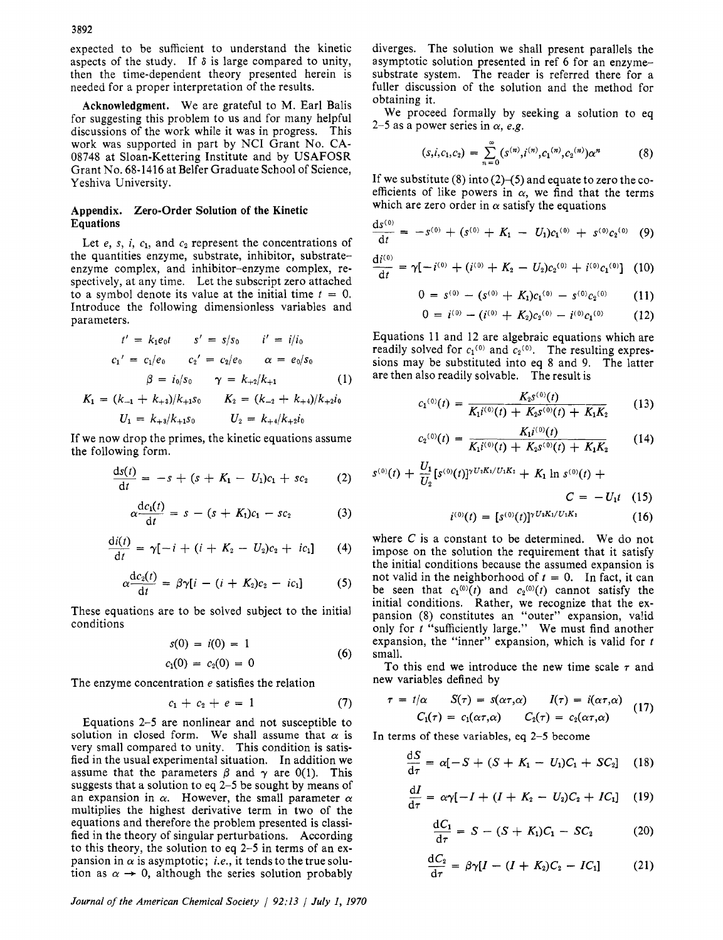expected to be sufficient to understand the kinetic aspects of the study. If **6** is large compared to unity, then the time-dependent theory presented herein is needed for a proper interpretation of the results.

Acknowledgment. We are grateful to M. Earl Balis for suggesting this problem to us and for many helpful discussions of the work while it was in progress. This work was supported in part by **NCI** Grant No. **CA-**08748 at Sloan-Kettering Institute and by USAFOSR Grant **No.** 68-1416 at Belfer Graduate School of Science, Yeshiva University.

## Appendix. Zero-Order Solution **of** the Kinetic Equations

Let  $e$ ,  $s$ ,  $i$ ,  $c_1$ , and  $c_2$  represent the concentrations of the quantities enzyme, substrate, inhibitor, substrateenzyme complex, and inhibitor-enzyme complex, respectively, at any time. Let the subscript zero attached to a symbol denote its value at the initial time  $t = 0$ . Introduce the following dimensionless variables and parameters.

$$
t' = k_1 e_0 t \t s' = s/s_0 \t i' = i/i_0
$$
  

$$
c_1' = c_1/e_0 \t c_2' = c_2/e_0 \t \alpha = e_0/s_0
$$
  

$$
\beta = i_0/s_0 \t \gamma = k_{+2}/k_{+1}
$$
 (1)

$$
K_1 = (k_{-1} + k_{+3})/k_{+1}s_0
$$
  
\n
$$
K_2 = (k_{-2} + k_{+4})/k_{+2}i_0
$$
  
\n
$$
U_1 = k_{+3}/k_{+1}s_0
$$
  
\n
$$
U_2 = k_{+4}/k_{+2}i_0
$$

If we now drop the primes, the kinetic equations assume the following form.

$$
\frac{ds(t)}{dt} = -s + (s + K_1 - U_1)c_1 + sc_2 \qquad (2)
$$

$$
\alpha \frac{dc_1(t)}{dt} = s - (s + K_1)c_1 - sc_2 \tag{3}
$$

$$
\frac{di(t)}{dt} = \gamma[-i + (i + K_2 - U_2)c_2 + ic_1] \qquad (4)
$$

$$
\alpha \frac{\mathrm{d}c_2(t)}{\mathrm{d}t} = \beta \gamma [i - (i + K_2)c_2 - ic_1] \tag{5}
$$

These equations are to be solved subject to the initial conditions

$$
s(0) = i(0) = 1
$$
  

$$
c_1(0) = c_2(0) = 0
$$
 (6)

The enzyme concentration *e* satisfies the relation

$$
c_1 + c_2 + e = 1 \tag{7}
$$

Equations 2-5 are nonlinear and not susceptible to solution in closed form. We shall assume that  $\alpha$  is very small compared to unity. This condition is satisfied in the usual experimental situation. In addition we assume that the parameters  $\beta$  and  $\gamma$  are 0(1). This suggests that a solution to eq *2-5* be sought by means of an expansion in  $\alpha$ . However, the small parameter  $\alpha$ multiplies the highest derivative term in two of the equations and therefore the problem presented is classified in the theory of singular perturbations. According to this theory, the solution to eq 2-5 in terms of an expansion in  $\alpha$  is asymptotic; *i.e.*, it tends to the true solution as  $\alpha \rightarrow 0$ , although the series solution probably

*Journal of the American Chemical Society 1 92:13 1 July I, 1970* 

diverges. The solution we shall present parallels the asymptotic solution presented in ref 6 for an enzymesubstrate system. The reader is referred there for a fuller discussion of the solution and the method for obtaining it.

We proceed formally by seeking a solution to eq 2–5 as a power series in  $\alpha$ , *e.g.* 

$$
(s,i,c_1,c_2) = \sum_{n=0}^{\infty} (s^{(n)},i^{(n)},c_1^{(n)},c_2^{(n)}) \alpha^n \qquad (8)
$$

If we substitute  $(8)$  into  $(2)$ – $(5)$  and equate to zero the coefficients of like powers in  $\alpha$ , we find that the terms which are zero order in  $\alpha$  satisfy the equations

$$
\frac{ds^{(0)}}{dt} = -s^{(0)} + (s^{(0)} + K_1 - U_1)c_1^{(0)} + s^{(0)}c_2^{(0)}
$$
 (9)

$$
\frac{di^{(0)}}{dt} = \gamma[-i^{(0)} + (i^{(0)} + K_2 - U_2)c_2^{(0)} + i^{(0)}c_1^{(0)}]
$$
 (10)

$$
0 = s^{(0)} - (s^{(0)} + K_1)c_1^{(0)} - s^{(0)}c_2^{(0)} \qquad (11)
$$

$$
0 = s^{(0)} - (s^{(0)} + K_1)c_1^{(0)} - s^{(0)}c_2^{(0)} \qquad (11)
$$
  
\n
$$
0 = i^{(0)} - (i^{(0)} + K_2)c_2^{(0)} - i^{(0)}c_1^{(0)} \qquad (12)
$$

Equations 11 and 12 are algebraic equations which are readily solved for  $c_1^{(0)}$  and  $c_2^{(0)}$ . The resulting expressions may be substituted into eq 8 and 9. The latter are then also readily solvable. The result is

$$
c_1^{(0)}(t) = \frac{K_2 s^{(0)}(t)}{K_1 i^{(0)}(t) + K_2 s^{(0)}(t) + K_1 K_2}
$$
(13)

$$
S_2^{(0)}(t) = \frac{K_1 i^{(0)}(t)}{K_1 i^{(0)}(t) + K_2 s^{(0)}(t) + K_1 K_2} \qquad (14)
$$

$$
K_1 i^{(0)}(t) + K_2 s^{(0)}(t) + K_1 K_2
$$
  
\n
$$
s^{(0)}(t) + \frac{U_1}{U_2} [s^{(0)}(t)]^{\gamma U_2 K_1/U_1 K_2} + K_1 \ln s^{(0)}(t) + C = -U_1 t \quad (15)
$$
  
\n
$$
i^{(0)}(t) = [s^{(0)}(t)]^{\gamma U_2 K_1/U_1 K_2} \qquad (16)
$$

where C is a constant to be determined. We do not impose on the solution the requirement that it satisfy the initial conditions because the assumed expansion is not valid in the neighborhood of  $t = 0$ . In fact, it can be seen that  $c_1(0)(t)$  and  $c_2(0)(t)$  cannot satisfy the initial conditions. Rather, we recognize that the expansion (8) constitutes an "outer" expansion, valid only for *t* "sufficiently large." We must find another expansion, the "inner" expansion, which is valid for *t*  small.

To this end we introduce the new time scale *r* and new variables defined by

$$
\tau = t/\alpha \qquad S(\tau) = s(\alpha \tau, \alpha) \qquad I(\tau) = i(\alpha \tau, \alpha) \qquad (17)
$$

$$
C_1(\tau) = c_1(\alpha \tau, \alpha) \qquad C_2(\tau) = c_2(\alpha \tau, \alpha) \qquad (17)
$$

In terms of these variables, **eq 2-5** become

$$
\frac{dS}{d\tau} = \alpha[-S + (S + K_1 - U_1)C_1 + SC_2] \quad (18)
$$

$$
\frac{dI}{d\tau} = \alpha \gamma [-I + (I + K_2 - U_2)C_2 + IC_1] \quad (19)
$$

$$
\frac{dC_1}{d\tau} = S - (S + K_1)C_1 - SC_2 \tag{20}
$$

$$
\frac{\mathrm{d}C_2}{\mathrm{d}\tau} = \beta \gamma [I - (I + K_2)C_2 - IC_1] \tag{21}
$$